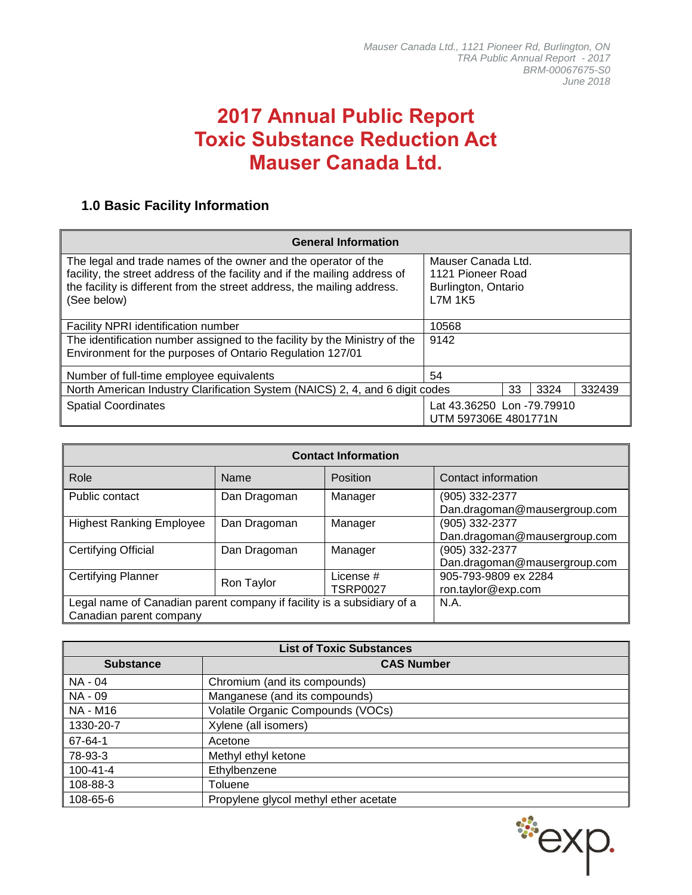# **2017 Annual Public Report Toxic Substance Reduction Act Mauser Canada Ltd.**

## **1.0 Basic Facility Information**

| <b>General Information</b>                                                                                                                                                                                                             |                                                                                  |    |      |        |
|----------------------------------------------------------------------------------------------------------------------------------------------------------------------------------------------------------------------------------------|----------------------------------------------------------------------------------|----|------|--------|
| The legal and trade names of the owner and the operator of the<br>facility, the street address of the facility and if the mailing address of<br>the facility is different from the street address, the mailing address.<br>(See below) | Mauser Canada Ltd.<br>1121 Pioneer Road<br>Burlington, Ontario<br><b>L7M 1K5</b> |    |      |        |
| <b>Facility NPRI identification number</b>                                                                                                                                                                                             | 10568                                                                            |    |      |        |
| The identification number assigned to the facility by the Ministry of the<br>Environment for the purposes of Ontario Regulation 127/01                                                                                                 | 9142                                                                             |    |      |        |
| Number of full-time employee equivalents                                                                                                                                                                                               | 54                                                                               |    |      |        |
| North American Industry Clarification System (NAICS) 2, 4, and 6 digit codes                                                                                                                                                           |                                                                                  | 33 | 3324 | 332439 |
| <b>Spatial Coordinates</b><br>Lat 43.36250 Lon -79.79910<br>UTM 597306E 4801771N                                                                                                                                                       |                                                                                  |    |      |        |

| <b>Contact Information</b>                                                                        |              |                              |                                                |  |  |
|---------------------------------------------------------------------------------------------------|--------------|------------------------------|------------------------------------------------|--|--|
| Role                                                                                              | Name         | Position                     | Contact information                            |  |  |
| Public contact                                                                                    | Dan Dragoman | Manager                      | (905) 332-2377<br>Dan.dragoman@mausergroup.com |  |  |
| <b>Highest Ranking Employee</b>                                                                   | Dan Dragoman | Manager                      | (905) 332-2377<br>Dan.dragoman@mausergroup.com |  |  |
| <b>Certifying Official</b>                                                                        | Dan Dragoman | Manager                      | (905) 332-2377<br>Dan.dragoman@mausergroup.com |  |  |
| <b>Certifying Planner</b>                                                                         | Ron Taylor   | License #<br><b>TSRP0027</b> | 905-793-9809 ex 2284<br>ron.taylor@exp.com     |  |  |
| Legal name of Canadian parent company if facility is a subsidiary of a<br>Canadian parent company | <b>N.A.</b>  |                              |                                                |  |  |

| <b>List of Toxic Substances</b> |                                       |  |  |  |  |
|---------------------------------|---------------------------------------|--|--|--|--|
| <b>Substance</b>                | <b>CAS Number</b>                     |  |  |  |  |
| NA - 04                         | Chromium (and its compounds)          |  |  |  |  |
| NA - 09                         | Manganese (and its compounds)         |  |  |  |  |
| <b>NA - M16</b>                 | Volatile Organic Compounds (VOCs)     |  |  |  |  |
| 1330-20-7                       | Xylene (all isomers)                  |  |  |  |  |
| 67-64-1                         | Acetone                               |  |  |  |  |
| 78-93-3                         | Methyl ethyl ketone                   |  |  |  |  |
| 100-41-4                        | Ethylbenzene                          |  |  |  |  |
| 108-88-3                        | Toluene                               |  |  |  |  |
| 108-65-6                        | Propylene glycol methyl ether acetate |  |  |  |  |

#exp.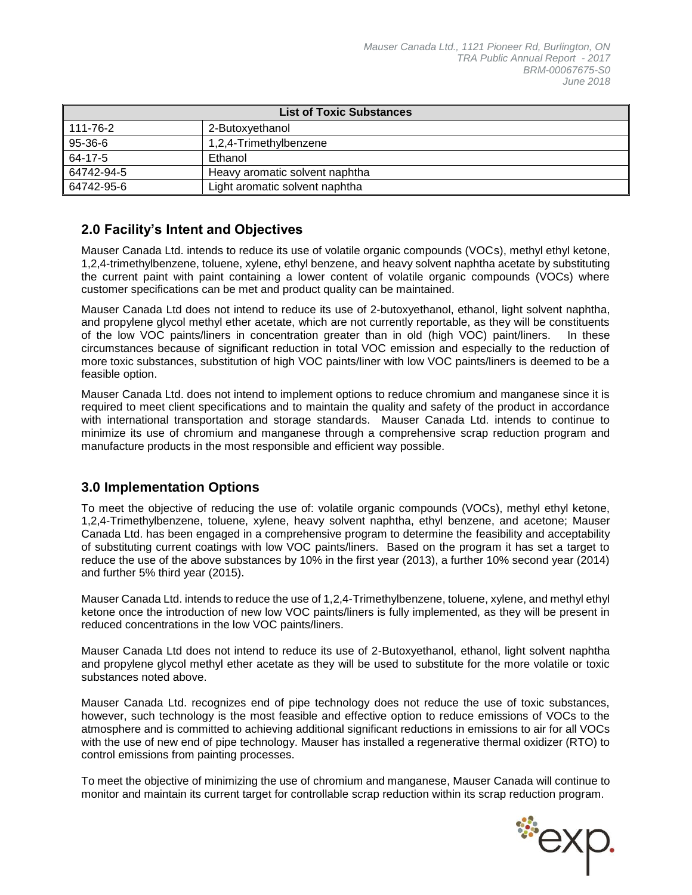| <b>List of Toxic Substances</b> |                                |  |  |  |
|---------------------------------|--------------------------------|--|--|--|
| 111-76-2                        | 2-Butoxyethanol                |  |  |  |
| $95-36-6$                       | 1,2,4-Trimethylbenzene         |  |  |  |
| $ 64-17-5 $                     | Ethanol                        |  |  |  |
| 64742-94-5                      | Heavy aromatic solvent naphtha |  |  |  |
| 64742-95-6                      | Light aromatic solvent naphtha |  |  |  |

### **2.0 Facility's Intent and Objectives**

Mauser Canada Ltd. intends to reduce its use of volatile organic compounds (VOCs), methyl ethyl ketone, 1,2,4-trimethylbenzene, toluene, xylene, ethyl benzene, and heavy solvent naphtha acetate by substituting the current paint with paint containing a lower content of volatile organic compounds (VOCs) where customer specifications can be met and product quality can be maintained.

Mauser Canada Ltd does not intend to reduce its use of 2-butoxyethanol, ethanol, light solvent naphtha, and propylene glycol methyl ether acetate, which are not currently reportable, as they will be constituents of the low VOC paints/liners in concentration greater than in old (high VOC) paint/liners. In these circumstances because of significant reduction in total VOC emission and especially to the reduction of more toxic substances, substitution of high VOC paints/liner with low VOC paints/liners is deemed to be a feasible option.

Mauser Canada Ltd. does not intend to implement options to reduce chromium and manganese since it is required to meet client specifications and to maintain the quality and safety of the product in accordance with international transportation and storage standards. Mauser Canada Ltd. intends to continue to minimize its use of chromium and manganese through a comprehensive scrap reduction program and manufacture products in the most responsible and efficient way possible.

### **3.0 Implementation Options**

To meet the objective of reducing the use of: volatile organic compounds (VOCs), methyl ethyl ketone, 1,2,4-Trimethylbenzene, toluene, xylene, heavy solvent naphtha, ethyl benzene, and acetone; Mauser Canada Ltd. has been engaged in a comprehensive program to determine the feasibility and acceptability of substituting current coatings with low VOC paints/liners. Based on the program it has set a target to reduce the use of the above substances by 10% in the first year (2013), a further 10% second year (2014) and further 5% third year (2015).

Mauser Canada Ltd. intends to reduce the use of 1,2,4-Trimethylbenzene, toluene, xylene, and methyl ethyl ketone once the introduction of new low VOC paints/liners is fully implemented, as they will be present in reduced concentrations in the low VOC paints/liners.

Mauser Canada Ltd does not intend to reduce its use of 2-Butoxyethanol, ethanol, light solvent naphtha and propylene glycol methyl ether acetate as they will be used to substitute for the more volatile or toxic substances noted above.

Mauser Canada Ltd. recognizes end of pipe technology does not reduce the use of toxic substances, however, such technology is the most feasible and effective option to reduce emissions of VOCs to the atmosphere and is committed to achieving additional significant reductions in emissions to air for all VOCs with the use of new end of pipe technology. Mauser has installed a regenerative thermal oxidizer (RTO) to control emissions from painting processes.

To meet the objective of minimizing the use of chromium and manganese, Mauser Canada will continue to monitor and maintain its current target for controllable scrap reduction within its scrap reduction program.

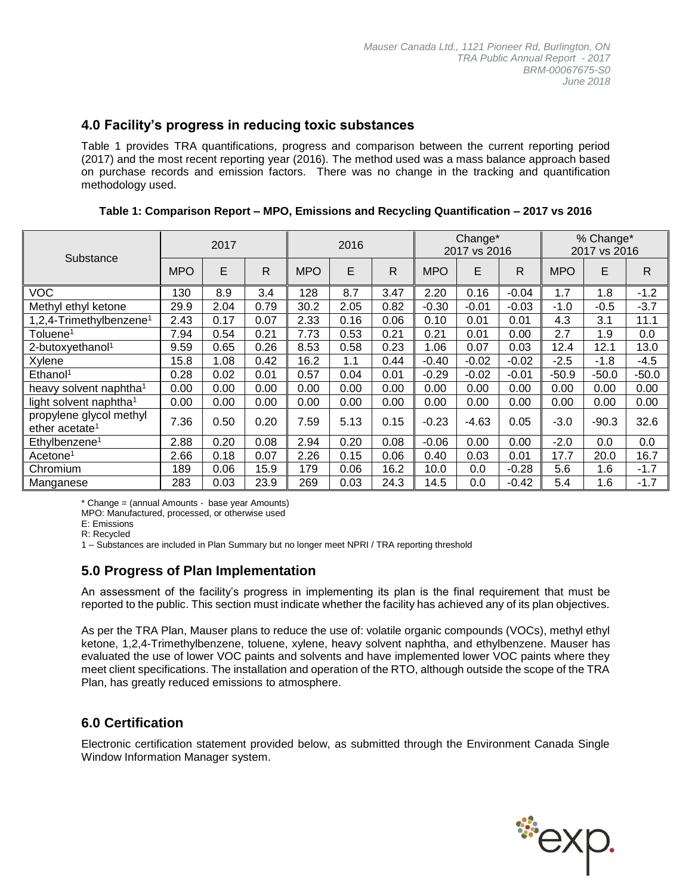### **4.0 Facility's progress in reducing toxic substances**

Table 1 provides TRA quantifications, progress and comparison between the current reporting period (2017) and the most recent reporting year (2016). The method used was a mass balance approach based on purchase records and emission factors. There was no change in the tracking and quantification methodology used.

| Substance                                             |            | 2017 |              | 2016       |      |              | Change*<br>2017 vs 2016 |         |              | % Change*<br>2017 vs 2016 |         |              |
|-------------------------------------------------------|------------|------|--------------|------------|------|--------------|-------------------------|---------|--------------|---------------------------|---------|--------------|
|                                                       | <b>MPO</b> | E    | $\mathsf{R}$ | <b>MPO</b> | E    | $\mathsf{R}$ | <b>MPO</b>              | E       | $\mathsf{R}$ | <b>MPO</b>                | E       | $\mathsf{R}$ |
| <b>VOC</b>                                            | 130        | 8.9  | 3.4          | 128        | 8.7  | 3.47         | 2.20                    | 0.16    | $-0.04$      | 1.7                       | 1.8     | $-1.2$       |
| Methyl ethyl ketone                                   | 29.9       | 2.04 | 0.79         | 30.2       | 2.05 | 0.82         | $-0.30$                 | $-0.01$ | $-0.03$      | $-1.0$                    | $-0.5$  | $-3.7$       |
| 1,2,4-Trimethylbenzene <sup>1</sup>                   | 2.43       | 0.17 | 0.07         | 2.33       | 0.16 | 0.06         | 0.10                    | 0.01    | 0.01         | 4.3                       | 3.1     | 11.1         |
| Toluene <sup>1</sup>                                  | 7.94       | 0.54 | 0.21         | 7.73       | 0.53 | 0.21         | 0.21                    | 0.01    | 0.00         | 2.7                       | 1.9     | 0.0          |
| 2-butoxyethanol <sup>1</sup>                          | 9.59       | 0.65 | 0.26         | 8.53       | 0.58 | 0.23         | 1.06                    | 0.07    | 0.03         | 12.4                      | 12.1    | 13.0         |
| Xylene                                                | 15.8       | 1.08 | 0.42         | 16.2       | 1.1  | 0.44         | $-0.40$                 | $-0.02$ | $-0.02$      | $-2.5$                    | $-1.8$  | $-4.5$       |
| Ethanol <sup>1</sup>                                  | 0.28       | 0.02 | 0.01         | 0.57       | 0.04 | 0.01         | $-0.29$                 | $-0.02$ | $-0.01$      | $-50.9$                   | $-50.0$ | $-50.0$      |
| heavy solvent naphtha <sup>1</sup>                    | 0.00       | 0.00 | 0.00         | 0.00       | 0.00 | 0.00         | 0.00                    | 0.00    | 0.00         | 0.00                      | 0.00    | 0.00         |
| light solvent naphtha <sup>1</sup>                    | 0.00       | 0.00 | 0.00         | 0.00       | 0.00 | 0.00         | 0.00                    | 0.00    | 0.00         | 0.00                      | 0.00    | 0.00         |
| propylene glycol methyl<br>ether acetate <sup>1</sup> | 7.36       | 0.50 | 0.20         | 7.59       | 5.13 | 0.15         | $-0.23$                 | $-4.63$ | 0.05         | $-3.0$                    | $-90.3$ | 32.6         |
| Ethylbenzene <sup>1</sup>                             | 2.88       | 0.20 | 0.08         | 2.94       | 0.20 | 0.08         | $-0.06$                 | 0.00    | 0.00         | $-2.0$                    | 0.0     | 0.0          |
| Acetone <sup>1</sup>                                  | 2.66       | 0.18 | 0.07         | 2.26       | 0.15 | 0.06         | 0.40                    | 0.03    | 0.01         | 17.7                      | 20.0    | 16.7         |
| Chromium                                              | 189        | 0.06 | 15.9         | 179        | 0.06 | 16.2         | 10.0                    | 0.0     | $-0.28$      | 5.6                       | 1.6     | $-1.7$       |
| Manganese                                             | 283        | 0.03 | 23.9         | 269        | 0.03 | 24.3         | 14.5                    | 0.0     | $-0.42$      | 5.4                       | 1.6     | $-1.7$       |

**Table 1: Comparison Report – MPO, Emissions and Recycling Quantification – 2017 vs 2016**

\* Change = (annual Amounts - base year Amounts)

MPO: Manufactured, processed, or otherwise used

E: Emissions

R: Recycled

1 – Substances are included in Plan Summary but no longer meet NPRI / TRA reporting threshold

### **5.0 Progress of Plan Implementation**

An assessment of the facility's progress in implementing its plan is the final requirement that must be reported to the public. This section must indicate whether the facility has achieved any of its plan objectives.

As per the TRA Plan, Mauser plans to reduce the use of: volatile organic compounds (VOCs), methyl ethyl ketone, 1,2,4-Trimethylbenzene, toluene, xylene, heavy solvent naphtha, and ethylbenzene. Mauser has evaluated the use of lower VOC paints and solvents and have implemented lower VOC paints where they meet client specifications. The installation and operation of the RTO, although outside the scope of the TRA Plan, has greatly reduced emissions to atmosphere.

### **6.0 Certification**

Electronic certification statement provided below, as submitted through the Environment Canada Single Window Information Manager system.